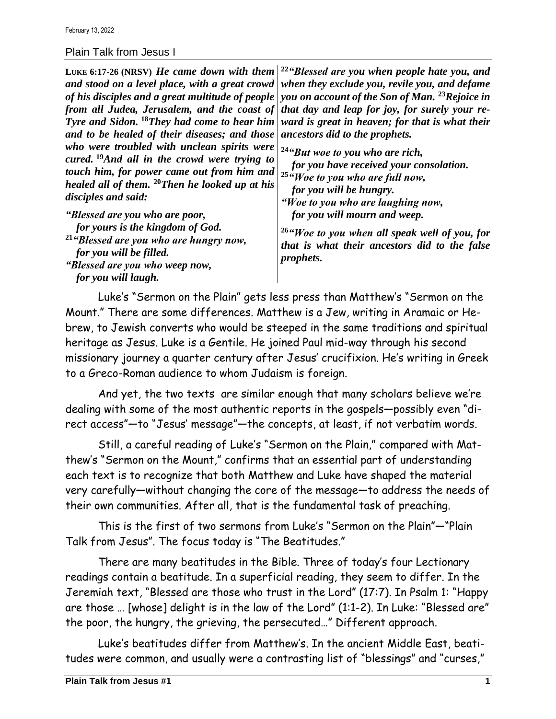## Plain Talk from Jesus I

**LUKE 6:17-26 (NRSV)** *He came down with them and stood on a level place, with a great crowd of his disciples and a great multitude of people from all Judea, Jerusalem, and the coast of Tyre and Sidon.* **<sup>18</sup>***They had come to hear him and to be healed of their diseases; and those who were troubled with unclean spirits were cured.* **<sup>19</sup>***And all in the crowd were trying to touch him, for power came out from him and healed all of them.* **<sup>20</sup>***Then he looked up at his disciples and said: "Blessed are you who are poor, for yours is the kingdom of God.* **<sup>21</sup>***"Blessed are you who are hungry now, for you will be filled. "Blessed are you who weep now, for you will laugh.* **<sup>22</sup>***"Blessed are you when people hate you, and when they exclude you, revile you, and defame you on account of the Son of Man.* **<sup>23</sup>***Rejoice in that day and leap for joy, for surely your reward is great in heaven; for that is what their ancestors did to the prophets.* **<sup>24</sup>***"But woe to you who are rich, for you have received your consolation.* **<sup>25</sup>***"Woe to you who are full now, for you will be hungry. "Woe to you who are laughing now, for you will mourn and weep.* **<sup>26</sup>***"Woe to you when all speak well of you, for that is what their ancestors did to the false prophets.*

Luke's "Sermon on the Plain" gets less press than Matthew's "Sermon on the Mount." There are some differences. Matthew is a Jew, writing in Aramaic or Hebrew, to Jewish converts who would be steeped in the same traditions and spiritual heritage as Jesus. Luke is a Gentile. He joined Paul mid-way through his second missionary journey a quarter century after Jesus' crucifixion. He's writing in Greek to a Greco-Roman audience to whom Judaism is foreign.

And yet, the two texts are similar enough that many scholars believe we're dealing with some of the most authentic reports in the gospels—possibly even "direct access"—to "Jesus' message"—the concepts, at least, if not verbatim words.

Still, a careful reading of Luke's "Sermon on the Plain," compared with Matthew's "Sermon on the Mount," confirms that an essential part of understanding each text is to recognize that both Matthew and Luke have shaped the material very carefully—without changing the core of the message—to address the needs of their own communities. After all, that is the fundamental task of preaching.

This is the first of two sermons from Luke's "Sermon on the Plain"—"Plain Talk from Jesus". The focus today is "The Beatitudes."

There are many beatitudes in the Bible. Three of today's four Lectionary readings contain a beatitude. In a superficial reading, they seem to differ. In the Jeremiah text, "Blessed are those who trust in the Lord" (17:7). In Psalm 1: "Happy are those … [whose] delight is in the law of the Lord" (1:1-2). In Luke: "Blessed are" the poor, the hungry, the grieving, the persecuted…" Different approach.

Luke's beatitudes differ from Matthew's. In the ancient Middle East, beatitudes were common, and usually were a contrasting list of "blessings" and "curses,"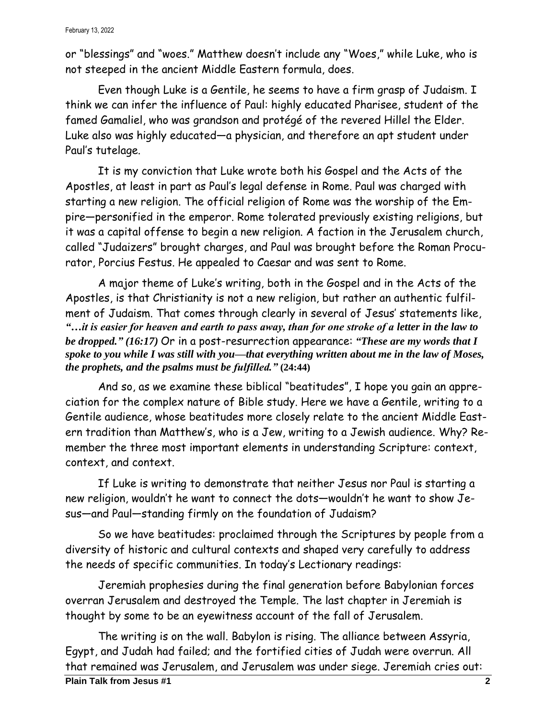or "blessings" and "woes." Matthew doesn't include any "Woes," while Luke, who is not steeped in the ancient Middle Eastern formula, does.

Even though Luke is a Gentile, he seems to have a firm grasp of Judaism. I think we can infer the influence of Paul: highly educated Pharisee, student of the famed Gamaliel, who was grandson and protégé of the revered Hillel the Elder. Luke also was highly educated—a physician, and therefore an apt student under Paul's tutelage.

It is my conviction that Luke wrote both his Gospel and the Acts of the Apostles, at least in part as Paul's legal defense in Rome. Paul was charged with starting a new religion. The official religion of Rome was the worship of the Empire—personified in the emperor. Rome tolerated previously existing religions, but it was a capital offense to begin a new religion. A faction in the Jerusalem church, called "Judaizers" brought charges, and Paul was brought before the Roman Procurator, Porcius Festus. He appealed to Caesar and was sent to Rome.

A major theme of Luke's writing, both in the Gospel and in the Acts of the Apostles, is that Christianity is not a new religion, but rather an authentic fulfilment of Judaism. That comes through clearly in several of Jesus' statements like, *"…it is easier for heaven and earth to pass away, than for one stroke of a letter in the law to be dropped." (16:17)* Or in a post-resurrection appearance: *"These are my words that I spoke to you while I was still with you—that everything written about me in the law of Moses, the prophets, and the psalms must be fulfilled."* **(24:44)**

And so, as we examine these biblical "beatitudes", I hope you gain an appreciation for the complex nature of Bible study. Here we have a Gentile, writing to a Gentile audience, whose beatitudes more closely relate to the ancient Middle Eastern tradition than Matthew's, who is a Jew, writing to a Jewish audience. Why? Remember the three most important elements in understanding Scripture: context, context, and context.

If Luke is writing to demonstrate that neither Jesus nor Paul is starting a new religion, wouldn't he want to connect the dots—wouldn't he want to show Jesus—and Paul—standing firmly on the foundation of Judaism?

So we have beatitudes: proclaimed through the Scriptures by people from a diversity of historic and cultural contexts and shaped very carefully to address the needs of specific communities. In today's Lectionary readings:

Jeremiah prophesies during the final generation before Babylonian forces overran Jerusalem and destroyed the Temple. The last chapter in Jeremiah is thought by some to be an eyewitness account of the fall of Jerusalem.

The writing is on the wall. Babylon is rising. The alliance between Assyria, Egypt, and Judah had failed; and the fortified cities of Judah were overrun. All that remained was Jerusalem, and Jerusalem was under siege. Jeremiah cries out: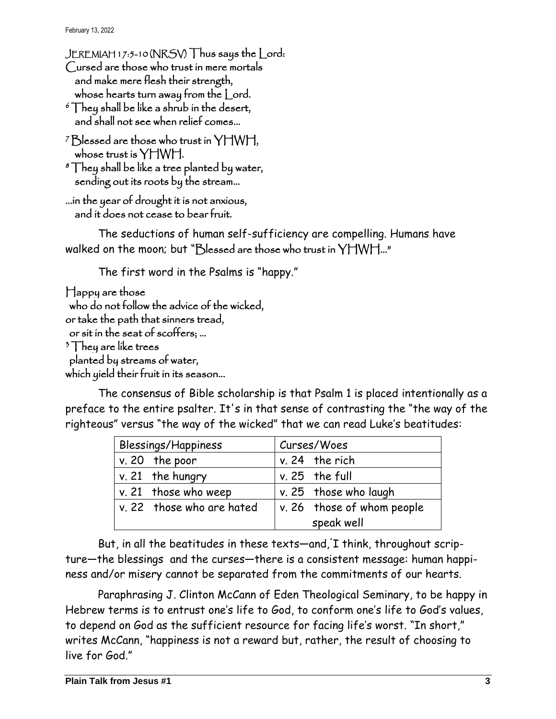February 13, 2022

JEREMIAH 17:5-10 (NRSV) Thus says the Lord: Cursed are those who trust in mere mortals

 and make mere flesh their strength, whose hearts turn away from the Lord.

- $\delta$  They shall be like a shrub in the desert, and shall not see when relief comes…
- <sup>7</sup>Blessed are those who trust in YHWH, whose trust is YHWH.

```
8 They shall be like a tree planted by water,
   sending out its roots by the stream…
```

```
…in the year of drought it is not anxious, 
   and it does not cease to bear fruit.
```
The seductions of human self-sufficiency are compelling. Humans have walked on the moon; but "Blessed are those who trust in YHWH..."

The first word in the Psalms is "happy."

```
Happy are those 
 who do not follow the advice of the wicked, 
or take the path that sinners tread, 
 or sit in the seat of scoffers; … 
3 They are like trees
 planted by streams of water, 
which yield their fruit in its season…
```
The consensus of Bible scholarship is that Psalm 1 is placed intentionally as a preface to the entire psalter. It's in that sense of contrasting the "the way of the righteous" versus "the way of the wicked" that we can read Luke's beatitudes:

| Blessings/Happiness       | Curses/Woes                        |
|---------------------------|------------------------------------|
| $v. 20$ the poor          | $v. 24$ the rich                   |
| $v. 21$ the hungry        | $v. 25$ the full                   |
| v. 21 those who weep      | v. 25 those who laugh              |
| v. 22 those who are hated | $\vert$ v. 26 those of whom people |
|                           | speak well                         |

But, in all the beatitudes in these texts—and, I think, throughout scripture—the blessings and the curses—there is a consistent message: human happiness and/or misery cannot be separated from the commitments of our hearts.

Paraphrasing J. Clinton McCann of Eden Theological Seminary, to be happy in Hebrew terms is to entrust one's life to God, to conform one's life to God's values, to depend on God as the sufficient resource for facing life's worst. "In short," writes McCann, "happiness is not a reward but, rather, the result of choosing to live for God"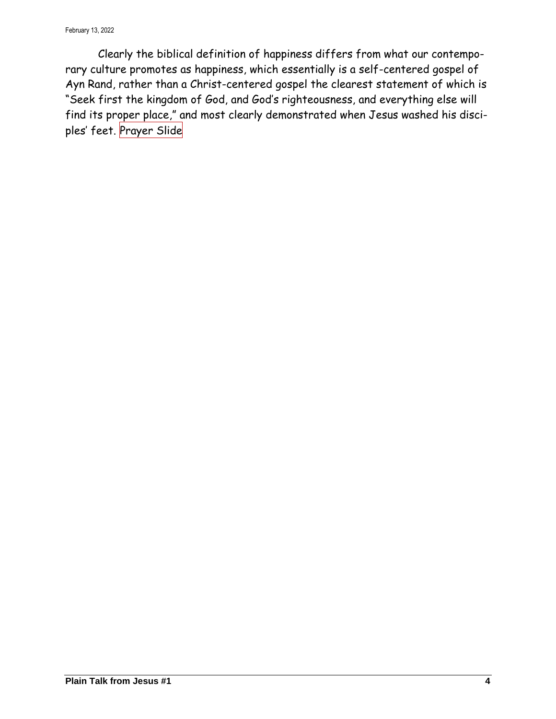Clearly the biblical definition of happiness differs from what our contemporary culture promotes as happiness, which essentially is a self-centered gospel of Ayn Rand, rather than a Christ-centered gospel the clearest statement of which is "Seek first the kingdom of God, and God's righteousness, and everything else will find its proper place," and most clearly demonstrated when Jesus washed his disciples' feet. Prayer Slide